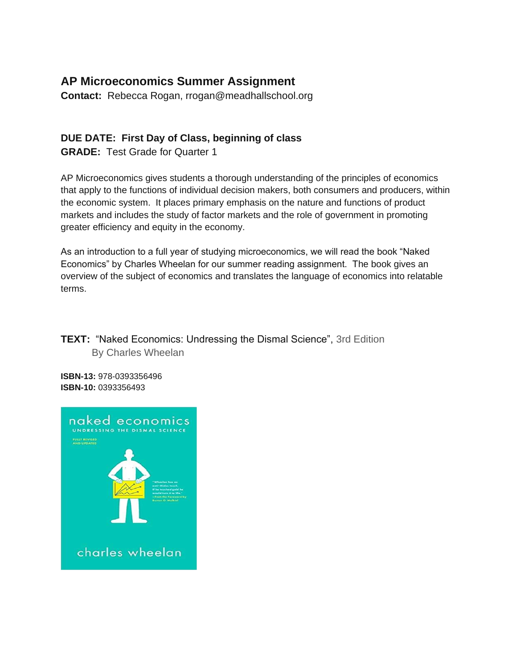## **AP Microeconomics Summer Assignment**

**Contact:** Rebecca Rogan, rrogan@meadhallschool.org

# **DUE DATE: First Day of Class, beginning of class**

**GRADE:** Test Grade for Quarter 1

AP Microeconomics gives students a thorough understanding of the principles of economics that apply to the functions of individual decision makers, both consumers and producers, within the economic system. It places primary emphasis on the nature and functions of product markets and includes the study of factor markets and the role of government in promoting greater efficiency and equity in the economy.

As an introduction to a full year of studying microeconomics, we will read the book "Naked Economics" by Charles Wheelan for our summer reading assignment. The book gives an overview of the subject of economics and translates the language of economics into relatable terms.

**TEXT:** "Naked Economics: Undressing the Dismal Science", 3rd Edition By Charles Wheelan

**ISBN-13:** 978-0393356496 **ISBN-10:** 0393356493

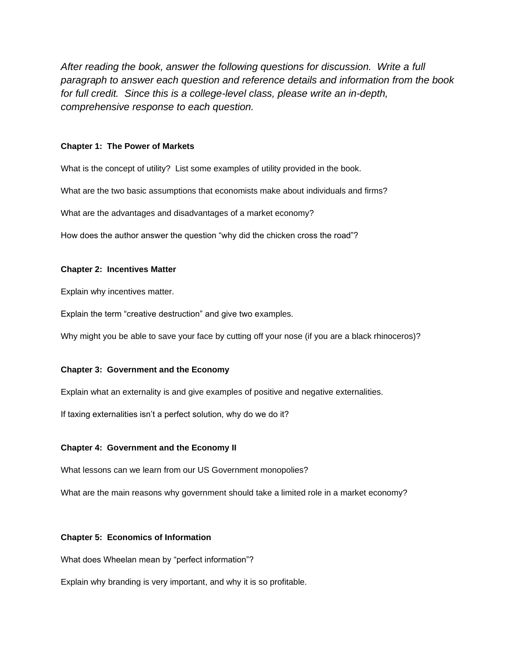*After reading the book, answer the following questions for discussion. Write a full paragraph to answer each question and reference details and information from the book for full credit. Since this is a college-level class, please write an in-depth, comprehensive response to each question.*

#### **Chapter 1: The Power of Markets**

What is the concept of utility? List some examples of utility provided in the book.

What are the two basic assumptions that economists make about individuals and firms?

What are the advantages and disadvantages of a market economy?

How does the author answer the question "why did the chicken cross the road"?

#### **Chapter 2: Incentives Matter**

Explain why incentives matter.

Explain the term "creative destruction" and give two examples.

Why might you be able to save your face by cutting off your nose (if you are a black rhinoceros)?

#### **Chapter 3: Government and the Economy**

Explain what an externality is and give examples of positive and negative externalities.

If taxing externalities isn't a perfect solution, why do we do it?

#### **Chapter 4: Government and the Economy II**

What lessons can we learn from our US Government monopolies?

What are the main reasons why government should take a limited role in a market economy?

#### **Chapter 5: Economics of Information**

What does Wheelan mean by "perfect information"?

Explain why branding is very important, and why it is so profitable.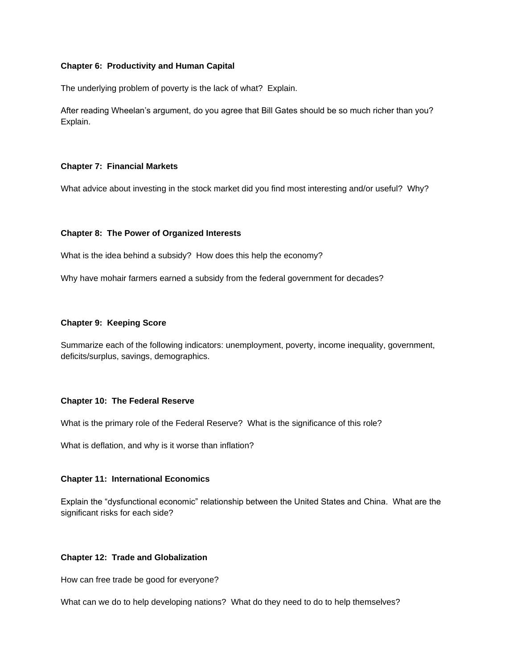#### **Chapter 6: Productivity and Human Capital**

The underlying problem of poverty is the lack of what? Explain.

After reading Wheelan's argument, do you agree that Bill Gates should be so much richer than you? Explain.

#### **Chapter 7: Financial Markets**

What advice about investing in the stock market did you find most interesting and/or useful? Why?

#### **Chapter 8: The Power of Organized Interests**

What is the idea behind a subsidy? How does this help the economy?

Why have mohair farmers earned a subsidy from the federal government for decades?

#### **Chapter 9: Keeping Score**

Summarize each of the following indicators: unemployment, poverty, income inequality, government, deficits/surplus, savings, demographics.

#### **Chapter 10: The Federal Reserve**

What is the primary role of the Federal Reserve? What is the significance of this role?

What is deflation, and why is it worse than inflation?

#### **Chapter 11: International Economics**

Explain the "dysfunctional economic" relationship between the United States and China. What are the significant risks for each side?

#### **Chapter 12: Trade and Globalization**

How can free trade be good for everyone?

What can we do to help developing nations? What do they need to do to help themselves?